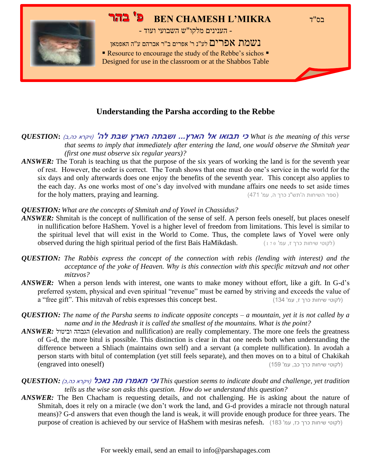#### בס"ד **MIKRA'L CHAMESH BEN פ' בהר**



- הענינים מלקו"ש השבועי ועוד -

נשמת אפרים לע"נ ר' אפרים ב"ר אברהם ע"ה האפמאן ■ Resource to encourage the study of the Rebbe's sichos ■

Designed for use in the classroom or at the Shabbos Table

#### **Understanding the Parsha according to the Rebbe**

 *verse this of meaning the is What* **כי תבואו אל הארץ... ושבתה הארץ שבת לה'** )ויקרא כה,ב( **:***QUESTION that seems to imply that immediately after entering the land, one would observe the Shmitah year (first one must observe six regular years)?*

*ANSWER*: The Torah is teaching us that the purpose of the six years of working the land is for the seventh year of rest. However, the order is correct. The Torah shows that one must do one's service in the world for the six days and only afterwards does one enjoy the benefits of the seventh year. This concept also applies to the each day. As one works most of one's day involved with mundane affairs one needs to set aside times  $\alpha$ ספר השיחות ה'תש"נ כרך ה, עמ' 471 $(471)$  .  $(471)$  .  $(471)$  .  $(471)$  the holy matters, praying and learning.

#### *QUESTION: What are the concepts of Shmitah and of Yovel in Chassidus?*

- *ANSWER:* Shmitah is the concept of nullification of the sense of self. A person feels oneself, but places oneself in nullification before HaShem. Yovel is a higher level of freedom from limitations. This level is similar to the spiritual level that will exist in the World to Come. Thus, the complete laws of Yovel were only observed during the high spiritual period of the first Bais HaMikdash. (לקוטי שיחות כרך ז, עמ' 170)
- *QUESTION: The Rabbis express the concept of the connection with rebis (lending with interest) and the acceptance of the yoke of Heaven. Why is this connection with this specific mitzvah and not other mitzvos?*
- *ANSWER*: When a person lends with interest, one wants to make money without effort, like a gift. In G-d's preferred system, physical and even spiritual "revenue" must be earned by striving and exceeds the value of a "free gift". This mitzvah of rebis expresses this concept best. (לקוטי שיחות כרך ז, עמ' 134)
- *QUESTION: The name of the Parsha seems to indicate opposite concepts – a mountain, yet it is not called by a name and in the Medrash it is called the smallest of the mountains. What is the point?*
- *ANSWER:* וביטול הגבהה) elevation and nullification) are really complementary. The more one feels the greatness of G-d, the more bitul is possible. This distinction is clear in that one needs both when understanding the difference between a Shliach (maintains own self) and a servant (a complete nullification). In avodah a person starts with bitul of contemplation (yet still feels separate), and then moves on to a bitul of Chakikah (לקוטי שיחות כרך כב, עמ' 159) (2159) ללקוטי שיחות כרך כב, עמ' 159)

#### *QUESTION:* )כ,כה ויקרא)**נאכל מה תאמרו וכי** *This question seems to indicate doubt and challenge, yet tradition tells us the wise son asks this question. How do we understand this question?*

*ANSWER:* The Ben Chacham is requesting details, and not challenging. He is asking about the nature of Shmitah, does it rely on a miracle (we don't work the land, and G-d provides a miracle not through natural means)? G-d answers that even though the land is weak, it will provide enough produce for three years. The purpose of creation is achieved by our service of HaShem with mesiras nefesh. (183 'לקוטי שיחות כרך כז, עמ' 183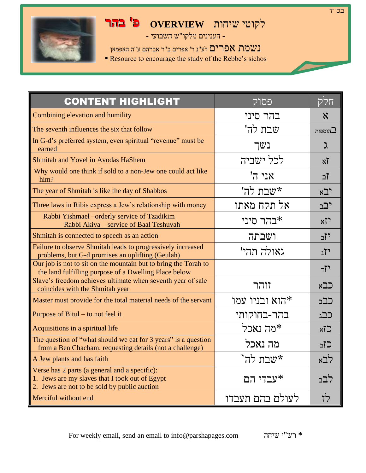### לקוטי שיחות **OVERVIEW פ' בהר**

בס"ד

- הענינים מלקו"ש השבועי -

נשמת אפרים לע"נ ר' אפרים ב"ר אברהם ע"ה האפמאן

**Resource to encourage the study of the Rebbe's sichos** 

| <b>CONTENT HIGHLIGHT</b>                                                                                                                        | פסוק                 | חלק                       |
|-------------------------------------------------------------------------------------------------------------------------------------------------|----------------------|---------------------------|
| Combining elevation and humility                                                                                                                | בהר סיני             | $\boldsymbol{\mathsf{x}}$ |
| The seventh influences the six that follow                                                                                                      | שבת לה'              | $\Gamma$ הוספות           |
| In G-d's preferred system, even spiritual "revenue" must be<br>earned                                                                           | נשך                  | ג                         |
| Shmitah and Yovel in Avodas HaShem                                                                                                              | לכל ישביה            | $x\overline{1}$           |
| Why would one think if sold to a non-Jew one could act like<br>him?                                                                             | 'אני ה               | ⊺ֿב                       |
| The year of Shmitah is like the day of Shabbos                                                                                                  | שבת לה'              | יבא                       |
| Three laws in Ribis express a Jew's relationship with money                                                                                     | אל תקח מאתו          | יבב                       |
| Rabbi Yishmael – orderly service of Tzadikim<br>Rabbi Akiva - service of Baal Teshuvah                                                          | בהר סיני $*$         | x7                        |
| Shmitah is connected to speech as an action                                                                                                     | ושבתה                | יזב                       |
| Failure to observe Shmitah leads to progressively increased<br>problems, but G-d promises an uplifting (Geulah)                                 | גאולה תהי'           | $\lambda$ <sup>77</sup>   |
| Our job is not to sit on the mountain but to bring the Torah to<br>the land fulfilling purpose of a Dwelling Place below                        |                      | 77                        |
| Slave's freedom achieves ultimate when seventh year of sale<br>coincides with the Shmitah year                                                  | זוהר                 | כבא                       |
| Master must provide for the total material needs of the servant                                                                                 | הוא ובניו עמו $\ast$ | כבב                       |
| Purpose of Bitul – to not feel it                                                                                                               | בהר-בחוקותי          | כבג                       |
| Acquisitions in a spiritual life                                                                                                                | *מה נאכל             | $x$ 7)                    |
| The question of "what should we eat for 3 years" is a question<br>from a Ben Chacham, requesting details (not a challenge)                      | מה נאכל              | כזב                       |
| A Jew plants and has faith                                                                                                                      | *שבת לה`             | לבא                       |
| Verse has 2 parts (a general and a specific):<br>1. Jews are my slaves that I took out of Egypt<br>2. Jews are not to be sold by public auction | *עבדי הם             | לבב                       |
| Merciful without end                                                                                                                            | לעולם בהם תעבדו      | לז                        |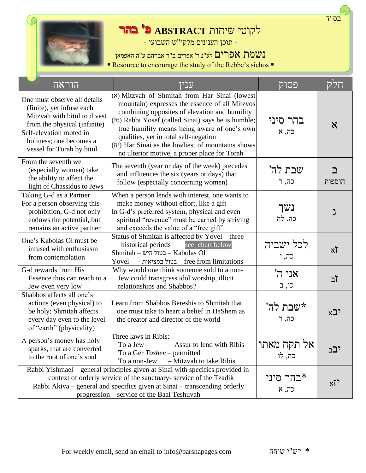



## לקוטי שיחות **ABSTRACT פ' בהר**

- תוכן הענינים מלקו"ש השבועי -

נשמת אפרים לע"נ ר' אפרים ב"ר אברהם ע"ה האפמאן

■ Resource to encourage the study of the Rebbe's sichos ■

| הוראה                                                                                                                                                                                                         | עניו                                                                                                                                                                                                                                                                                                                                                                                                 | פסוק                  | חלק             |
|---------------------------------------------------------------------------------------------------------------------------------------------------------------------------------------------------------------|------------------------------------------------------------------------------------------------------------------------------------------------------------------------------------------------------------------------------------------------------------------------------------------------------------------------------------------------------------------------------------------------------|-----------------------|-----------------|
| One must observe all details<br>(finite), yet infuse each<br>Mitzvah with bitul to divest<br>from the physical (infinite)<br>Self-elevation rooted in<br>holiness; one becomes a<br>vessel for Torah by bitul | (x) Mitzvah of Shmitah from Har Sinai (lowest<br>mountain) expresses the essence of all Mitzvos<br>combining opposites of elevation and humility<br>(זז) Rabbi Yosef (called Sinai) says he is humble;<br>true humility means being aware of one's own<br>qualities, yet in total self-negation<br>(יה) Har Sinai as the lowliest of mountains shows<br>no ulterior motive, a proper place for Torah | בהר סיני<br>כה, א     | $\aleph$        |
| From the seventh we<br>(especially women) take<br>the ability to affect the<br>light of Chassidus to Jews                                                                                                     | The seventh (year or day of the week) precedes<br>and influences the six (years or days) that<br>follow (especially concerning women)                                                                                                                                                                                                                                                                | שבת לה'<br>כה, ד      | ב<br>הוספות     |
| Taking G-d as a Partner<br>For a person observing this<br>prohibition, G-d not only<br>endows the potential, but<br>remains an active partner                                                                 | When a person lends with interest, one wants to<br>make money without effort, like a gift<br>In G-d's preferred system, physical and even<br>spiritual "revenue" must be earned by striving<br>and exceeds the value of a "free gift"                                                                                                                                                                | נשך<br>כה, לה         | ス               |
| One's Kabolas Ol must be<br>infused with enthusiasm<br>from contemplation                                                                                                                                     | Status of Shmitah is affected by Yovel - three<br>see chart below<br>historical periods<br>$Shmitah - w$ ר בטול היש – Kabolas Ol<br>- בטול במציאות – free from limitations<br>Yovel                                                                                                                                                                                                                  | לכל ישביה<br>כה, י    | $x\overline{y}$ |
| G-d rewards from His<br>Essence thus can reach to a<br>Jew even very low                                                                                                                                      | Why would one think someone sold to a non-<br>Jew could transgress idol worship, illicit<br>relationships and Shabbos?                                                                                                                                                                                                                                                                               | אני ה'<br>כו, ב       | ⊺ב              |
| Shabbos affects all one's<br>actions (even physical) to<br>be holy; Shmitah affects<br>every day even to the level<br>of "earth" (physicality)                                                                | Learn from Shabbos Bereshis to Shmitah that<br>one must take to heart a belief in HaShem as<br>the creator and director of the world                                                                                                                                                                                                                                                                 | *שבת לה'<br>כה, ד     | י⊆א             |
| A person's money has holy<br>sparks, that are converted<br>to the root of one's soul                                                                                                                          | Three laws in Ribis:<br>To a Jew $-$ Assur to lend with Ribis<br>To a Ger Toshev – permitted<br>- Mitzvah to take Ribis<br>To a non-Jew                                                                                                                                                                                                                                                              | אל תקח מאתו<br>כה, לו | יבב             |
|                                                                                                                                                                                                               | Rabbi Yishmael - general principles given at Sinai with specifics provided in<br>context of orderly service of the sanctuary- service of the Tzadik<br>Rabbi Akiva – general and specifics given at Sinai – transcending orderly<br>progression - service of the Baal Teshuvah                                                                                                                       | ≭בהר סיני<br>כה, א    | $x\overline{v}$ |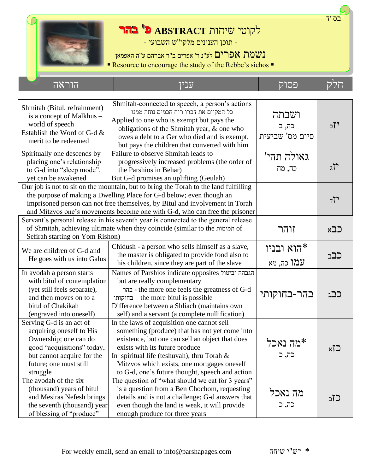

# לקוטי שיחות **ABSTRACT פ' בהר**

- תוכן הענינים מלקו"ש השבועי -

נשמת אפרים לע"נ ר' אפרים ב"ר אברהם ע"ה האפמאן

■ Resource to encourage the study of the Rebbe's sichos ■

חלק פסוק ענין הוראה

| Shmitah (Bitul, refrainment)<br>is a concept of Malkhus -<br>world of speech<br>Establish the Word of G-d &<br>merit to be redeemed                                                                                                                                                                                        | Shmitah-connected to speech, a person's actions<br>כל המקיים את דברו רוח חכמים נוחה ממנו<br>Applied to one who is exempt but pays the<br>obligations of the Shmitah year, & one who<br>owes a debt to a Ger who died and is exempt,<br>but pays the children that converted with him                                                 | ושבתה<br>כה, ב<br>סיום מס' שביעית | יזב  |
|----------------------------------------------------------------------------------------------------------------------------------------------------------------------------------------------------------------------------------------------------------------------------------------------------------------------------|--------------------------------------------------------------------------------------------------------------------------------------------------------------------------------------------------------------------------------------------------------------------------------------------------------------------------------------|-----------------------------------|------|
| Spiritually one descends by<br>placing one's relationship<br>to G-d into "sleep mode",<br>yet can be awakened                                                                                                                                                                                                              | Failure to observe Shmitah leads to<br>progressively increased problems (the order of<br>the Parshios in Behar)<br>But G-d promises an uplifting (Geulah)                                                                                                                                                                            | גאולה תהי'<br>כה, מח              | יזג  |
| Our job is not to sit on the mountain, but to bring the Torah to the land fulfilling<br>the purpose of making a Dwelling Place for G-d below; even though an<br>imprisoned person can not free themselves, by Bitul and involvement in Torah<br>and Mitzvos one's movements become one with G-d, who can free the prisoner |                                                                                                                                                                                                                                                                                                                                      |                                   | 71   |
| Servant's personal release in his seventh year is connected to the general release<br>of Shmitah, achieving ultimate when they coincide (similar to the תמימות of<br>Sefirah starting on Yom Rishon)                                                                                                                       |                                                                                                                                                                                                                                                                                                                                      | זוהר                              | כבא  |
| Chidush - a person who sells himself as a slave,<br>We are children of G-d and<br>the master is obligated to provide food also to<br>He goes with us into Galus<br>his children, since they are part of the slave                                                                                                          |                                                                                                                                                                                                                                                                                                                                      | הוא ובניו#<br>עמו כה, מא          | כבב  |
| In avodah a person starts<br>with bitul of contemplation<br>(yet still feels separate),<br>and then moves on to a<br>bitul of Chakikah<br>(engraved into oneself)                                                                                                                                                          | Names of Parshios indicate opposites הגבהה וביטול<br>but are really complementary<br>- the more one feels the greatness of G-d<br>בחוקותי – the more bitul is possible<br>Difference between a Shliach (maintains own<br>self) and a servant (a complete nullification)                                                              | בהר-בחוקותי                       | כבג  |
| Serving G-d is an act of<br>acquiring oneself to His<br>Ownership; one can do<br>good "acquisitions" today,<br>but cannot acquire for the<br>future; one must still<br>struggle                                                                                                                                            | In the laws of acquisition one cannot sell<br>something (produce) that has not yet come into<br>existence, but one can sell an object that does<br>exists with its future produce<br>In spiritual life (teshuvah), thru Torah $\&$<br>Mitzvos which exists, one mortgages oneself<br>to G-d, one's future thought, speech and action | *מה נאכל<br>כה, כ                 | لا∑x |
| The avodah of the six<br>(thousand) years of bitul<br>and Mesiras Nefesh brings<br>the seventh (thousand) year<br>of blessing of "produce"                                                                                                                                                                                 | The question of "what should we eat for 3 years"<br>is a question from a Ben Chochom, requesting<br>details and is not a challenge; G-d answers that<br>even though the land is weak, it will provide<br>enough produce for three years                                                                                              | מה נאכל<br>כה, כ                  | כזב  |

בס"ד